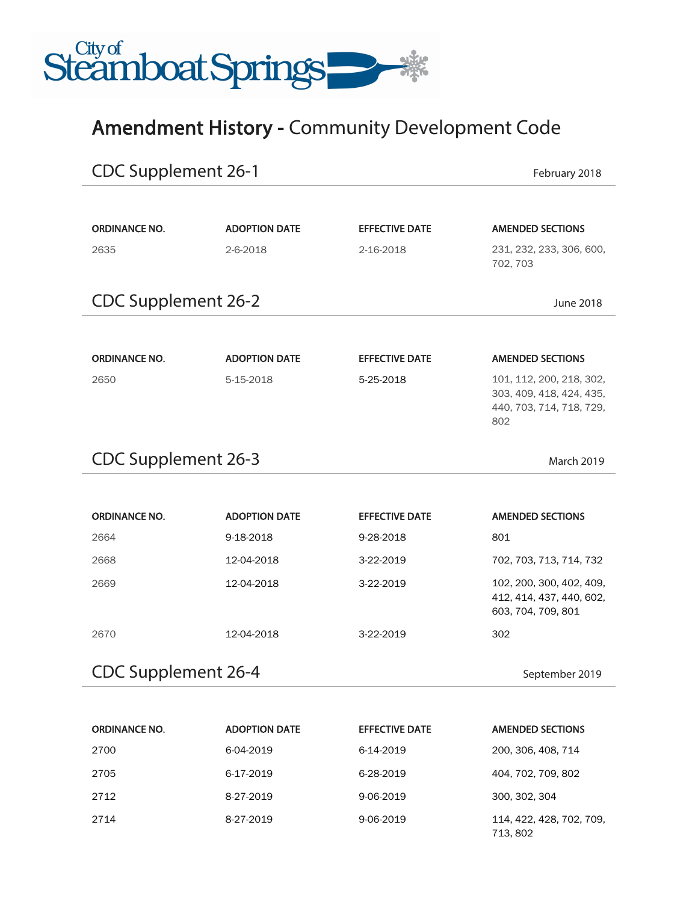

## Amendment History - Community Development Code

| <b>CDC Supplement 26-1</b>               | February 2018        |                       |                                                                                         |  |
|------------------------------------------|----------------------|-----------------------|-----------------------------------------------------------------------------------------|--|
|                                          |                      |                       |                                                                                         |  |
| <b>ORDINANCE NO.</b>                     | <b>ADOPTION DATE</b> | <b>EFFECTIVE DATE</b> | <b>AMENDED SECTIONS</b>                                                                 |  |
| 2635                                     | 2-6-2018             | 2-16-2018             | 231, 232, 233, 306, 600,<br>702, 703                                                    |  |
| <b>CDC Supplement 26-2</b>               |                      | <b>June 2018</b>      |                                                                                         |  |
|                                          |                      |                       |                                                                                         |  |
| <b>ORDINANCE NO.</b>                     | <b>ADOPTION DATE</b> | <b>EFFECTIVE DATE</b> | <b>AMENDED SECTIONS</b>                                                                 |  |
| 2650                                     | 5-15-2018            | 5-25-2018             | 101, 112, 200, 218, 302,<br>303, 409, 418, 424, 435,<br>440, 703, 714, 718, 729,<br>802 |  |
| <b>CDC Supplement 26-3</b><br>March 2019 |                      |                       |                                                                                         |  |
|                                          |                      |                       |                                                                                         |  |
| <b>ORDINANCE NO.</b>                     | <b>ADOPTION DATE</b> | <b>EFFECTIVE DATE</b> | <b>AMENDED SECTIONS</b>                                                                 |  |
| 2664                                     | 9-18-2018            | 9-28-2018             | 801                                                                                     |  |
| 2668                                     | 12-04-2018           | 3-22-2019             | 702, 703, 713, 714, 732                                                                 |  |
| 2669                                     | 12-04-2018           | 3-22-2019             | 102, 200, 300, 402, 409,<br>412, 414, 437, 440, 602,<br>603, 704, 709, 801              |  |
| 2670                                     | 12-04-2018           | 3-22-2019             | 302                                                                                     |  |
| <b>CDC Supplement 26-4</b>               |                      |                       | September 2019                                                                          |  |

| <b>ORDINANCE NO.</b> | <b>ADOPTION DATE</b> | <b>EFFECTIVE DATE</b> | <b>AMENDED SECTIONS</b>              |
|----------------------|----------------------|-----------------------|--------------------------------------|
| 2700                 | 6-04-2019            | 6-14-2019             | 200, 306, 408, 714                   |
| 2705                 | 6-17-2019            | 6-28-2019             | 404, 702, 709, 802                   |
| 2712                 | 8-27-2019            | 9-06-2019             | 300, 302, 304                        |
| 2714                 | 8-27-2019            | 9-06-2019             | 114, 422, 428, 702, 709,<br>713, 802 |